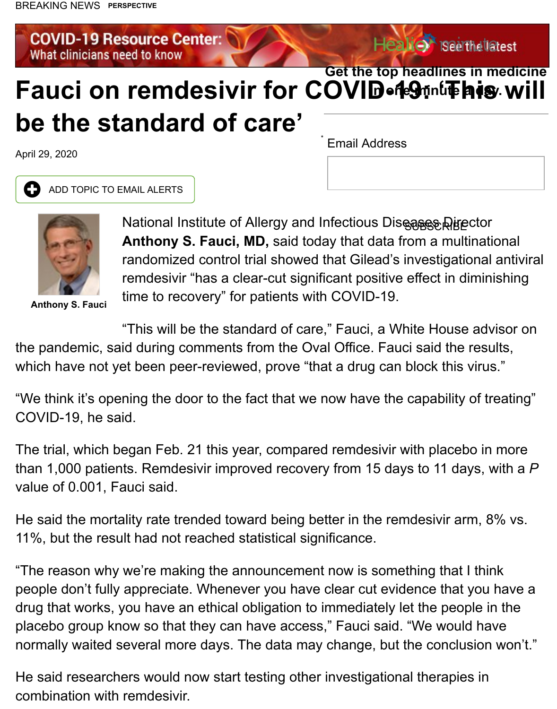## **Fauci on remdesivir for COVID-19: 'This will [be the standard of care'](https://www.healio.com/infectious-disease/resource-centers/%7B5aad9d15-ae4b-4b60-8060-ede3d9225e87%7D/covid-19-resource-center) in one minute a day.** *\**

April 29, 2020

**4 ADD TOPIC TO EMAIL ALERTS** 



**Anthony S. Fauci**

**National Institute of Allergy and Infectious Diseases Directors Anthony S. Fauci, MD, said today that data from a multing** randomized control trial showed that Gilead's investigational remdesivir "has a clear-cut significant positive effect in direction time to recovery" for patients with COVID-19.

"This will be the standard of care," Fauci, a White House the pandemic, said during comments from the Oval Office. Fauci said the results, which have not yet been peer-reviewed, prove "that a drug can block this v

"We think it's opening the door to the fact that we now have the capability of COVID-19, he said.

The trial, which began Feb. 21 this year, compared remdesivir with placebo than 1,000 patients. Remdesivir improved recovery from 15 days to 11 day value of 0.001, Fauci said.

He said the mortality rate trended toward being better in the remdesivir arn 11%, but the result had not reached statistical significance.

"The reason why we're making the announcement now is something that I people don't fully appreciate. Whenever you have clear cut evidence that y drug that works, you have an ethical obligation to immediately let the peop placebo group know so that they can have access," Fauci said. "We would normally waited several more days. The data may change, but the conclus

He said researchers would now start testing other investigational therapies combination with remdesivir.

Email Address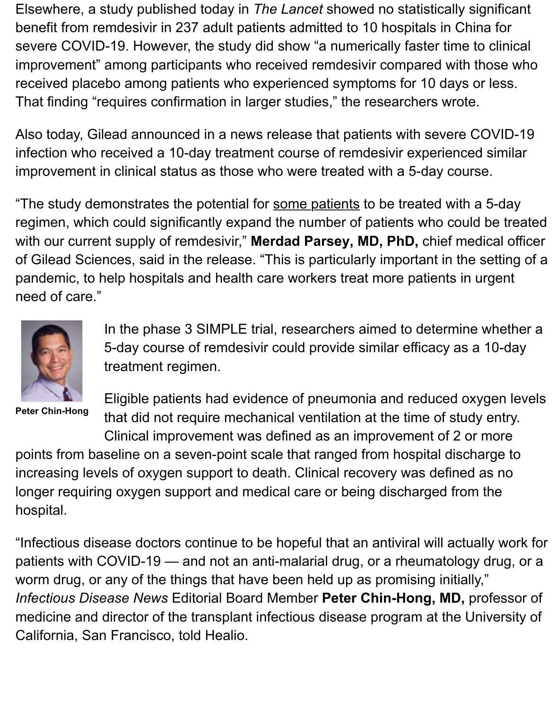That finding "requires confirmation in larger studies," the researchers wrote.

Also today, Gilead announced in a news release that patients with severe ( infection who received a 10-day treatment course of remdesivir experience improvement in clinical status as those who were treated with a 5-day cour

"The study demonstrates the potential for some patients to be treated with regimen, which could significantly expand the number of patients who coul with our current supply of remdesivir," Merdad Parsey, MD, PhD, chief me of Gilead Sciences, said in the release. "This is particularly important in the pandemic, to help hospitals and health care workers treat more patients in need of care."



In the phase 3 SIMPLE trial, researchers aimed to determine 5-day course of remdesivir could provide similar efficacy as treatment regimen.

**Peter Chin-Hong**

Eligible patients had evidence of pneumonia and reduced ox that did not require mechanical ventilation at the time of stud Clinical improvement was defined as an improvement of 2 or

points from baseline on a seven-point scale that ranged from hospital disch increasing levels of oxygen support to death. Clinical recovery was defined longer requiring oxygen support and medical care or being discharged fron hospital.

"Infectious disease doctors continue to be hopeful that an antiviral will actu patients with COVID-19 — and not an anti-malarial drug, or a rheumatolog worm drug, or any of the things that have been held up as promising initially *Infectious Disease News* Editorial Board Member Peter Chin-Hong, MD, professor medicine and director of the transplant infectious disease program at the U California, San Francisco, told Healio.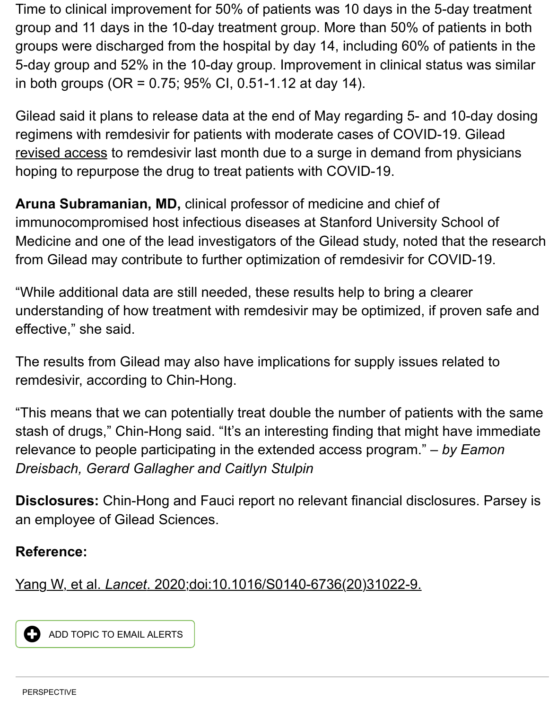Gilead said it plans to release data at the end of May regarding 5- and 10-d regimens with remdesivir for patients with moderate cases of COVID-19. G revised access to remdesivir last month due to a surge in demand from physicians hoping to repurpose the drug to treat patients with COVID-19.

**Aruna Subramanian, MD,** clinical professor of medicine and chief of immunocompromised host infectious diseases at Stanford University Scho [Medicine and o](https://www.healio.com/infectious-disease/emerging-diseases/news/online/%7B692f5047-bcf0-4072-ab33-2062b24f137c%7D/gilead-revises-access-to-remdesivir-for-covid-19-amid-surge-in-demand)ne of the lead investigators of the Gilead study, noted that t from Gilead may contribute to further optimization of remdesivir for COVID-

"While additional data are still needed, these results help to bring a clearer understanding of how treatment with remdesivir may be optimized, if prove effective," she said.

The results from Gilead may also have implications for supply issues relate remdesivir, according to Chin-Hong.

"This means that we can potentially treat double the number of patients wit stash of drugs," Chin-Hong said. "It's an interesting finding that might have relevance to people participating in the extended access program."  $-$  by Eamonn-*Dreisbach, Gerard Gallagher and Caitlyn Stulpin*

**Disclosures:** Chin-Hong and Fauci report no relevant financial disclosures an employee of Gilead Sciences.

## **Reference:**

Yang W, et al. *Lancet*. 2020;doi:10.1016/S0140-6736(20)31022-9.

**4 ADD TOPIC TO EMAIL ALERTS**